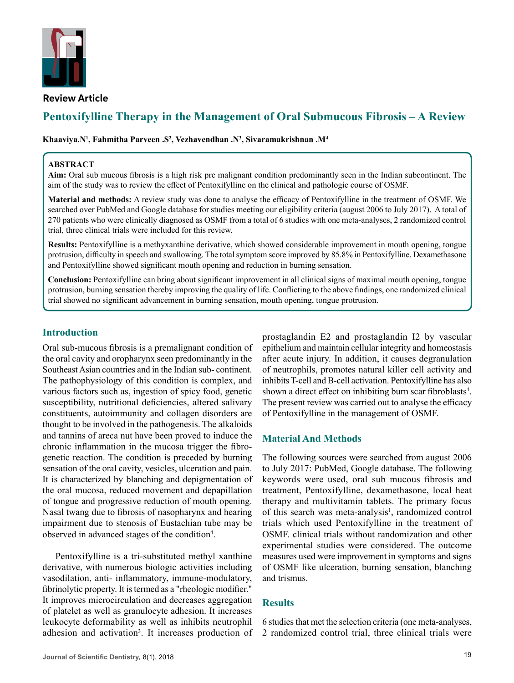

# **Pentoxifylline Therapy in the Management of Oral Submucous Fibrosis – A Review**

Khaaviya.N<sup>ı</sup>, Fahmitha Parveen .S<sup>2</sup>, Vezhavendhan .N<sup>3</sup>, Sivaramakrishnan .M<sup>4</sup>

#### **ABSTRACT**

**Aim:** Oral sub mucous fibrosis is a high risk pre malignant condition predominantly seen in the Indian subcontinent. The aim of the study was to review the effect of Pentoxifylline on the clinical and pathologic course of OSMF.

**Material and methods:** A review study was done to analyse the efficacy of Pentoxifylline in the treatment of OSMF. We searched over PubMed and Google database for studies meeting our eligibility criteria (august 2006 to July 2017). A total of 270 patients who were clinically diagnosed as OSMF from a total of 6 studies with one meta-analyses, 2 randomized control trial, three clinical trials were included for this review.

**Results:** Pentoxifylline is a methyxanthine derivative, which showed considerable improvement in mouth opening, tongue protrusion, difficulty in speech and swallowing. The total symptom score improved by 85.8% in Pentoxifylline. Dexamethasone and Pentoxifylline showed significant mouth opening and reduction in burning sensation.

**Conclusion:** Pentoxifylline can bring about significant improvement in all clinical signs of maximal mouth opening, tongue protrusion, burning sensation thereby improving the quality of life. Conflicting to the above findings, one randomized clinical trial showed no significant advancement in burning sensation, mouth opening, tongue protrusion.

## **Introduction**

Oral sub-mucous fibrosis is a premalignant condition of the oral cavity and oropharynx seen predominantly in the Southeast Asian countries and in the Indian sub- continent. The pathophysiology of this condition is complex, and various factors such as, ingestion of spicy food, genetic susceptibility, nutritional deficiencies, altered salivary constituents, autoimmunity and collagen disorders are thought to be involved in the pathogenesis. The alkaloids and tannins of areca nut have been proved to induce the chronic inflammation in the mucosa trigger the fibrogenetic reaction. The condition is preceded by burning sensation of the oral cavity, vesicles, ulceration and pain. It is characterized by blanching and depigmentation of the oral mucosa, reduced movement and depapillation of tongue and progressive reduction of mouth opening. Nasal twang due to fibrosis of nasopharynx and hearing impairment due to stenosis of Eustachian tube may be observed in advanced stages of the condition<sup>4</sup>.

Pentoxifylline is a tri-substituted methyl xanthine derivative, with numerous biologic activities including vasodilation, anti- inflammatory, immune-modulatory, fibrinolytic property. It is termed as a "rheologic modifier." It improves microcirculation and decreases aggregation of platelet as well as granulocyte adhesion. It increases leukocyte deformability as well as inhibits neutrophil adhesion and activation<sup>3</sup>. It increases production of prostaglandin E2 and prostaglandin I2 by vascular epithelium and maintain cellular integrity and homeostasis after acute injury. In addition, it causes degranulation of neutrophils, promotes natural killer cell activity and inhibits T-cell and B-cell activation. Pentoxifylline has also shown a direct effect on inhibiting burn scar fibroblasts<sup>4</sup>. The present review was carried out to analyse the efficacy of Pentoxifylline in the management of OSMF.

### **Material And Methods**

The following sources were searched from august 2006 to July 2017: PubMed, Google database. The following keywords were used, oral sub mucous fibrosis and treatment, Pentoxifylline, dexamethasone, local heat therapy and multivitamin tablets. The primary focus of this search was meta-analysis<sup>1</sup>, randomized control trials which used Pentoxifylline in the treatment of OSMF. clinical trials without randomization and other experimental studies were considered. The outcome measures used were improvement in symptoms and signs of OSMF like ulceration, burning sensation, blanching and trismus.

### **Results**

6 studies that met the selection criteria (one meta-analyses, 2 randomized control trial, three clinical trials were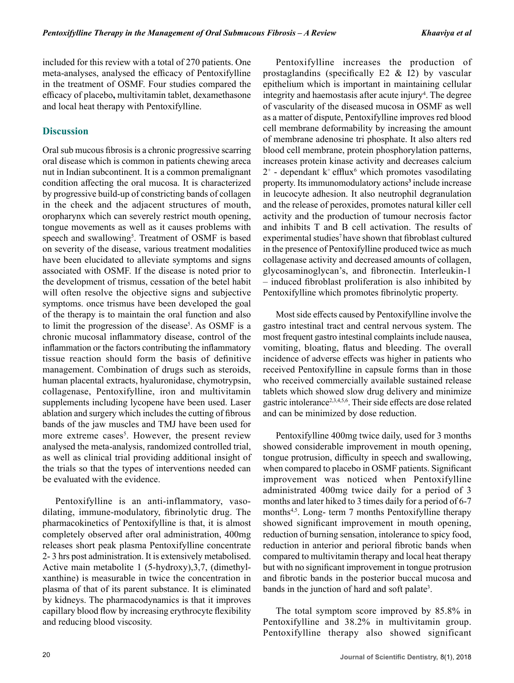included for this review with a total of 270 patients. One meta-analyses, analysed the efficacy of Pentoxifylline in the treatment of OSMF. Four studies compared the efficacy of placebo**,** multivitamin tablet, dexamethasone and local heat therapy with Pentoxifylline.

## **Discussion**

Oral sub mucous fibrosis is a chronic progressive scarring oral disease which is common in patients chewing areca nut in Indian subcontinent. It is a common premalignant condition affecting the oral mucosa. It is characterized by progressive build-up of constricting bands of collagen in the cheek and the adjacent structures of mouth, oropharynx which can severely restrict mouth opening, tongue movements as well as it causes problems with speech and swallowing<sup>5</sup>. Treatment of OSMF is based on severity of the disease, various treatment modalities have been elucidated to alleviate symptoms and signs associated with OSMF. If the disease is noted prior to the development of trismus, cessation of the betel habit will often resolve the objective signs and subjective symptoms. once trismus have been developed the goal of the therapy is to maintain the oral function and also to limit the progression of the disease<sup>5</sup>. As OSMF is a chronic mucosal inflammatory disease, control of the inflammation or the factors contributing the inflammatory tissue reaction should form the basis of definitive management. Combination of drugs such as steroids, human placental extracts, hyaluronidase, chymotrypsin, collagenase, Pentoxifylline, iron and multivitamin supplements including lycopene have been used. Laser ablation and surgery which includes the cutting of fibrous bands of the jaw muscles and TMJ have been used for more extreme cases<sup>5</sup>. However, the present review analysed the meta-analysis, randomized controlled trial, as well as clinical trial providing additional insight of the trials so that the types of interventions needed can be evaluated with the evidence.

Pentoxifylline is an anti-inflammatory, vasodilating, immune-modulatory, fibrinolytic drug. The pharmacokinetics of Pentoxifylline is that, it is almost completely observed after oral administration, 400mg releases short peak plasma Pentoxifylline concentrate 2- 3 hrs post administration. It is extensively metabolised. Active main metabolite 1 (5-hydroxy),3,7, (dimethylxanthine) is measurable in twice the concentration in plasma of that of its parent substance. It is eliminated by kidneys. The pharmacodynamics is that it improves capillary blood flow by increasing erythrocyte flexibility and reducing blood viscosity.

Pentoxifylline increases the production of prostaglandins (specifically E2 & I2) by vascular epithelium which is important in maintaining cellular integrity and haemostasis after acute injury<sup>4</sup>. The degree of vascularity of the diseased mucosa in OSMF as well as a matter of dispute, Pentoxifylline improves red blood cell membrane deformability by increasing the amount of membrane adenosine tri phosphate. It also alters red blood cell membrane, protein phosphorylation patterns, increases protein kinase activity and decreases calcium  $2^+$  - dependant k<sup>+</sup> efflux<sup>6</sup> which promotes vasodilating property. Its immunomodulatory actions**<sup>3</sup>** include increase in leucocyte adhesion. It also neutrophil degranulation and the release of peroxides, promotes natural killer cell activity and the production of tumour necrosis factor and inhibits T and B cell activation. The results of experimental studies<sup>7</sup> have shown that fibroblast cultured in the presence of Pentoxifylline produced twice as much collagenase activity and decreased amounts of collagen, glycosaminoglycan's, and fibronectin. Interleukin-1 – induced fibroblast proliferation is also inhibited by Pentoxifylline which promotes fibrinolytic property.

Most side effects caused by Pentoxifylline involve the gastro intestinal tract and central nervous system. The most frequent gastro intestinal complaints include nausea, vomiting, bloating, flatus and bleeding. The overall incidence of adverse effects was higher in patients who received Pentoxifylline in capsule forms than in those who received commercially available sustained release tablets which showed slow drug delivery and minimize gastric intolerance2,3,4,5,6. Their side effects are dose related and can be minimized by dose reduction.

Pentoxifylline 400mg twice daily, used for 3 months showed considerable improvement in mouth opening, tongue protrusion, difficulty in speech and swallowing, when compared to placebo in OSMF patients. Significant improvement was noticed when Pentoxifylline administrated 400mg twice daily for a period of 3 months and later hiked to 3 times daily for a period of 6-7 months<sup>4,5</sup>. Long- term 7 months Pentoxifylline therapy showed significant improvement in mouth opening, reduction of burning sensation, intolerance to spicy food, reduction in anterior and perioral fibrotic bands when compared to multivitamin therapy and local heat therapy but with no significant improvement in tongue protrusion and fibrotic bands in the posterior buccal mucosa and bands in the junction of hard and soft palate<sup>3</sup>.

The total symptom score improved by 85.8% in Pentoxifylline and 38.2% in multivitamin group. Pentoxifylline therapy also showed significant